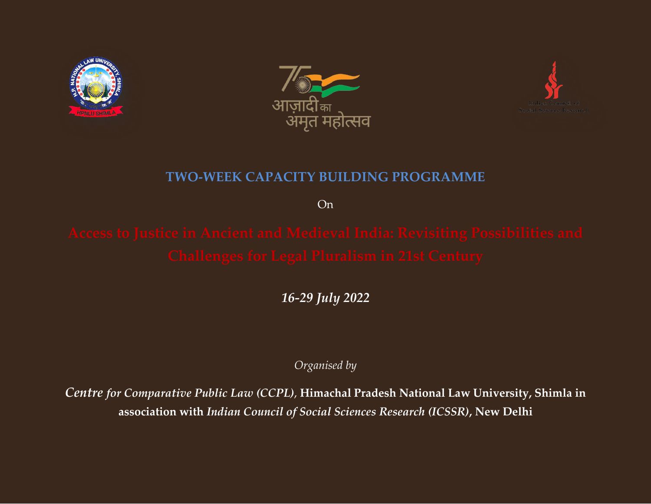





# **TWO-WEEK CAPACITY BUILDING PROGRAMME**

On

*16-29 July 2022*

*Organised by*

*Centre for Comparative Public Law (CCPL)*, **Himachal Pradesh National Law University, Shimla in association with** *Indian Council of Social Sciences Research (ICSSR)***, New Delhi**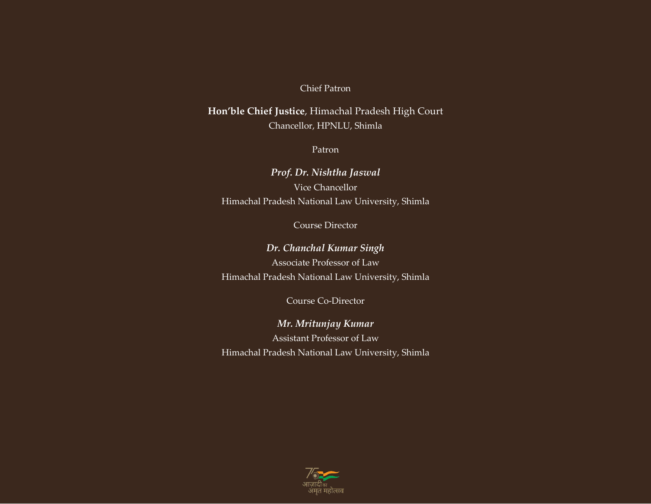#### Chief Patron

**Hon'ble Chief Justice**, Himachal Pradesh High Court Chancellor, HPNLU, Shimla

Patron

*Prof. Dr. Nishtha Jaswal* Vice Chancellor Himachal Pradesh National Law University, Shimla

Course Director

*Dr. Chanchal Kumar Singh* Associate Professor of Law Himachal Pradesh National Law University, Shimla

Course Co-Director

*Mr. Mritunjay Kumar* Assistant Professor of Law Himachal Pradesh National Law University, Shimla

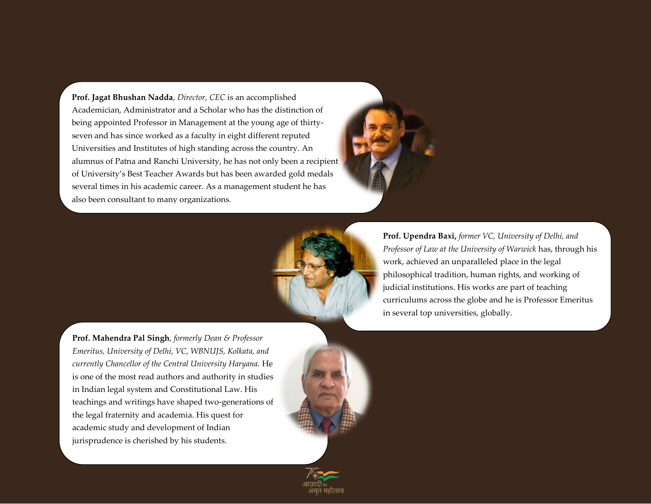**Prof. Jagat Bhushan Nadda**, *Director, CEC* is an accomplished Academician, Administrator and a Scholar who has the distinction of being appointed Professor in Management at the young age of thirtyseven and has since worked as a faculty in eight different reputed Universities and Institutes of high standing across the country. An alumnus of Patna and Ranchi University, he has not only been a recipient of University's Best Teacher Awards but has been awarded gold medals several times in his academic career. As a management student he has also been consultant to many organizations.





**Prof. Upendra Baxi,** *former VC, University of Delhi, and Professor of Law at the University of Warwick* has, through his work, achieved an unparalleled place in the legal philosophical tradition, human rights, and working of judicial institutions. His works are part of teaching curriculums across the globe and he is Professor Emeritus in several top universities, globally.

**Prof. Mahendra Pal Singh**, *formerly Dean & Professor Emeritus, University of Delhi, VC, WBNUJS, Kolkata, and currently Chancellor of the Central University Haryana.* He is one of the most read authors and authority in studies in Indian legal system and Constitutional Law. His teachings and writings have shaped two-generations of the legal fraternity and academia. His quest for academic study and development of Indian jurisprudence is cherished by his students.

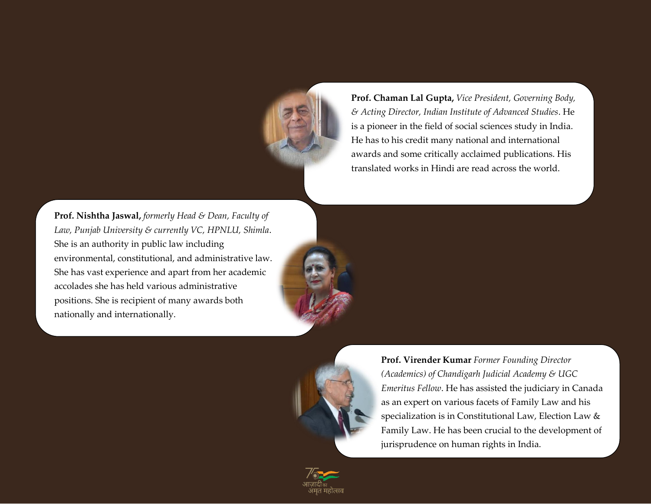

**Prof. Chaman Lal Gupta,** *Vice President, Governing Body, & Acting Director, Indian Institute of Advanced Studies*. He is a pioneer in the field of social sciences study in India. He has to his credit many national and international awards and some critically acclaimed publications. His translated works in Hindi are read across the world.

**Prof. Nishtha Jaswal,** *formerly Head & Dean, Faculty of Law, Punjab University & currently VC, HPNLU, Shimla*. She is an authority in public law including environmental, constitutional, and administrative law. She has vast experience and apart from her academic accolades she has held various administrative positions. She is recipient of many awards both nationally and internationally.



**Prof. Virender Kumar** *Former Founding Director (Academics) of Chandigarh Judicial Academy & UGC Emeritus Fellow*. He has assisted the judiciary in Canada as an expert on various facets of Family Law and his specialization is in Constitutional Law, Election Law & Family Law. He has been crucial to the development of jurisprudence on human rights in India.

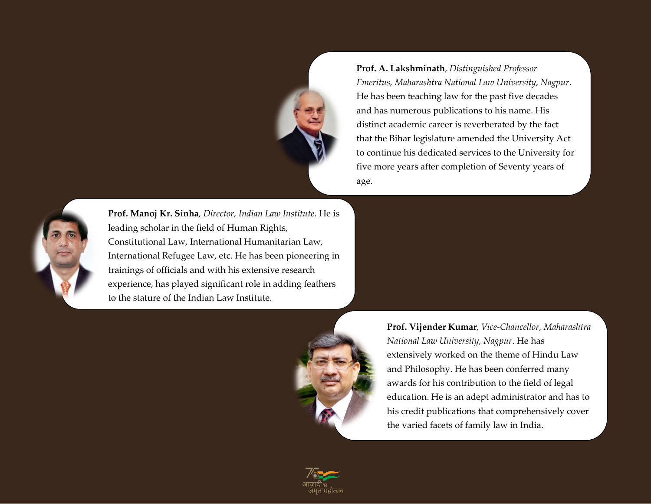

**Prof. A. Lakshminath**, *Distinguished Professor Emeritus, Maharashtra National Law University, Nagpur*. He has been teaching law for the past five decades and has numerous publications to his name. His distinct academic career is reverberated by the fact that the Bihar legislature amended the University Act to continue his dedicated services to the University for five more years after completion of Seventy years of age.



**Prof. Manoj Kr. Sinha***, Director, Indian Law Institute*. He is leading scholar in the field of Human Rights, Constitutional Law, International Humanitarian Law, International Refugee Law, etc. He has been pioneering in trainings of officials and with his extensive research experience, has played significant role in adding feathers to the stature of the Indian Law Institute.



**Prof. Vijender Kumar***, Vice-Chancellor, Maharashtra National Law University, Nagpur*. He has extensively worked on the theme of Hindu Law and Philosophy. He has been conferred many awards for his contribution to the field of legal education. He is an adept administrator and has to his credit publications that comprehensively cover the varied facets of family law in India.

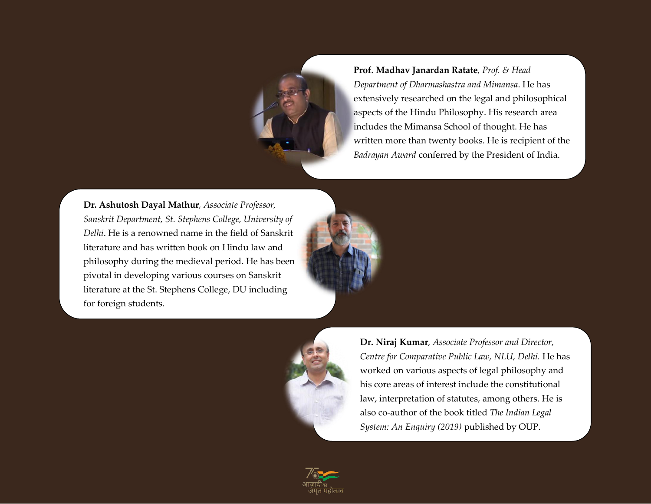

**Prof. Madhav Janardan Ratate***, Prof. & Head Department of Dharmashastra and Mimansa*. He has extensively researched on the legal and philosophical aspects of the Hindu Philosophy. His research area includes the Mimansa School of thought. He has written more than twenty books. He is recipient of the *Badrayan Award* conferred by the President of India.

**Dr. Ashutosh Dayal Mathur***, Associate Professor, Sanskrit Department, St. Stephens College, University of Delhi*. He is a renowned name in the field of Sanskrit literature and has written book on Hindu law and philosophy during the medieval period. He has been pivotal in developing various courses on Sanskrit literature at the St. Stephens College, DU including for foreign students.





**Dr. Niraj Kumar***, Associate Professor and Director, Centre for Comparative Public Law, NLU, Delhi.* He has worked on various aspects of legal philosophy and his core areas of interest include the constitutional law, interpretation of statutes, among others. He is also co-author of the book titled *The Indian Legal System: An Enquiry (2019)* published by OUP.

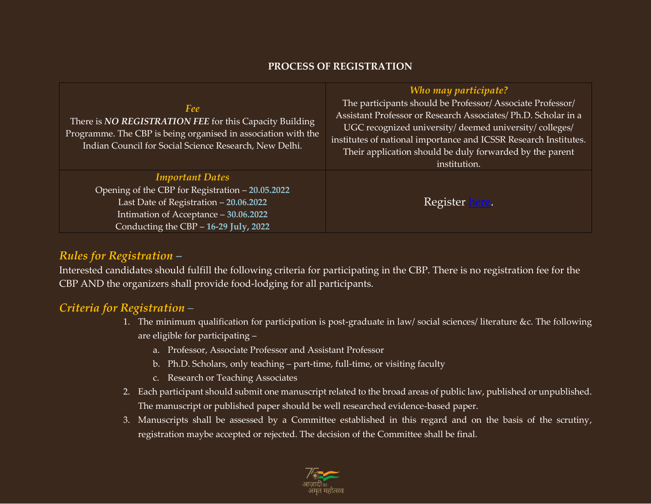### **PROCESS OF REGISTRATION**

|                                                                                                                                                                                           | Who may participate?                                                                                                                                                                                                                                     |
|-------------------------------------------------------------------------------------------------------------------------------------------------------------------------------------------|----------------------------------------------------------------------------------------------------------------------------------------------------------------------------------------------------------------------------------------------------------|
| Fee<br>There is NO REGISTRATION FEE for this Capacity Building<br>Programme. The CBP is being organised in association with the<br>Indian Council for Social Science Research, New Delhi. | The participants should be Professor/Associate Professor/<br>Assistant Professor or Research Associates/ Ph.D. Scholar in a<br>UGC recognized university/deemed university/colleges/<br>institutes of national importance and ICSSR Research Institutes. |
|                                                                                                                                                                                           | Their application should be duly forwarded by the parent<br>institution.                                                                                                                                                                                 |
| <b>Important Dates</b>                                                                                                                                                                    |                                                                                                                                                                                                                                                          |
| Opening of the CBP for Registration - 20.05.2022                                                                                                                                          |                                                                                                                                                                                                                                                          |
| Last Date of Registration - 20.06.2022                                                                                                                                                    | Register here.                                                                                                                                                                                                                                           |
| Intimation of Acceptance - 30.06.2022                                                                                                                                                     |                                                                                                                                                                                                                                                          |
| Conducting the CBP - 16-29 July, 2022                                                                                                                                                     |                                                                                                                                                                                                                                                          |

# *Rules for Registration –*

Interested candidates should fulfill the following criteria for participating in the CBP. There is no registration fee for the CBP AND the organizers shall provide food-lodging for all participants.

# *Criteria for Registration –*

- 1. The minimum qualification for participation is post-graduate in law/ social sciences/ literature &c. The following are eligible for participating –
	- a. Professor, Associate Professor and Assistant Professor
	- b. Ph.D. Scholars, only teaching part-time, full-time, or visiting faculty
	- c. Research or Teaching Associates
- 2. Each participant should submit one manuscript related to the broad areas of public law, published or unpublished. The manuscript or published paper should be well researched evidence-based paper.
- 3. Manuscripts shall be assessed by a Committee established in this regard and on the basis of the scrutiny, registration maybe accepted or rejected. The decision of the Committee shall be final.

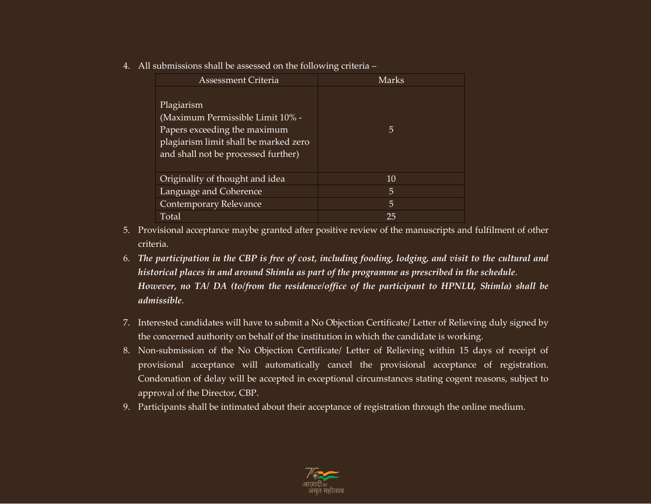4. All submissions shall be assessed on the following criteria –

| Assessment Criteria                                                                                                                                            | Marks |
|----------------------------------------------------------------------------------------------------------------------------------------------------------------|-------|
| Plagiarism<br>(Maximum Permissible Limit 10% -<br>Papers exceeding the maximum<br>plagiarism limit shall be marked zero<br>and shall not be processed further) | 5     |
| Originality of thought and idea                                                                                                                                | 10    |
| Language and Coherence                                                                                                                                         | 5     |
| Contemporary Relevance                                                                                                                                         | 5     |
| Total                                                                                                                                                          | 25    |

- 5. Provisional acceptance maybe granted after positive review of the manuscripts and fulfilment of other criteria.
- 6. *The participation in the CBP is free of cost, including fooding, lodging, and visit to the cultural and historical places in and around Shimla as part of the programme as prescribed in the schedule*. *However, no TA/ DA (to/from the residence/office of the participant to HPNLU, Shimla) shall be admissible*.
- 7. Interested candidates will have to submit a No Objection Certificate/ Letter of Relieving duly signed by the concerned authority on behalf of the institution in which the candidate is working.
- 8. Non-submission of the No Objection Certificate/ Letter of Relieving within 15 days of receipt of provisional acceptance will automatically cancel the provisional acceptance of registration. Condonation of delay will be accepted in exceptional circumstances stating cogent reasons, subject to approval of the Director, CBP.
- 9. Participants shall be intimated about their acceptance of registration through the online medium.

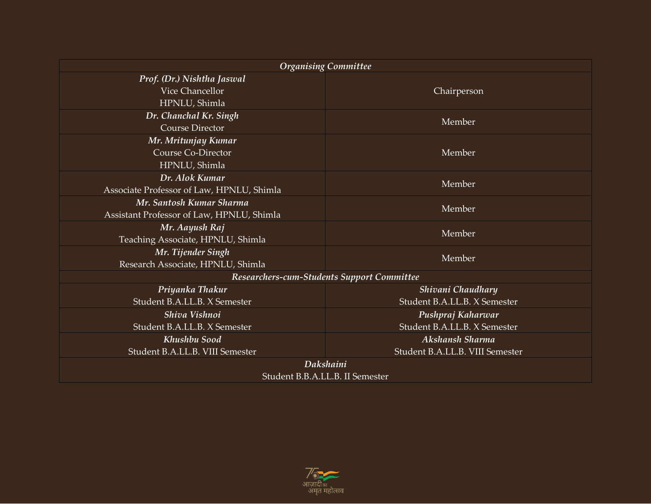| <b>Organising Committee</b>                |                                 |  |
|--------------------------------------------|---------------------------------|--|
| Prof. (Dr.) Nishtha Jaswal                 |                                 |  |
| Vice Chancellor                            | Chairperson                     |  |
| HPNLU, Shimla                              |                                 |  |
| Dr. Chanchal Kr. Singh                     | Member                          |  |
| <b>Course Director</b>                     |                                 |  |
| Mr. Mritunjay Kumar                        |                                 |  |
| <b>Course Co-Director</b>                  | Member                          |  |
| HPNLU, Shimla                              |                                 |  |
| Dr. Alok Kumar                             | Member                          |  |
| Associate Professor of Law, HPNLU, Shimla  |                                 |  |
| Mr. Santosh Kumar Sharma                   | Member                          |  |
| Assistant Professor of Law, HPNLU, Shimla  |                                 |  |
| Mr. Aayush Raj                             | Member                          |  |
| Teaching Associate, HPNLU, Shimla          |                                 |  |
| Mr. Tijender Singh                         | Member                          |  |
| Research Associate, HPNLU, Shimla          |                                 |  |
| Researchers-cum-Students Support Committee |                                 |  |
| Priyanka Thakur                            | Shivani Chaudhary               |  |
| Student B.A.LL.B. X Semester               | Student B.A.LL.B. X Semester    |  |
| Shiva Vishnoi                              | Pushpraj Kaharwar               |  |
| Student B.A.LL.B. X Semester               | Student B.A.LL.B. X Semester    |  |
| Khushbu Sood                               | Akshansh Sharma                 |  |
| Student B.A.LL.B. VIII Semester            | Student B.A.LL.B. VIII Semester |  |
| Dakshaini                                  |                                 |  |
| Student B.B.A.LL.B. II Semester            |                                 |  |